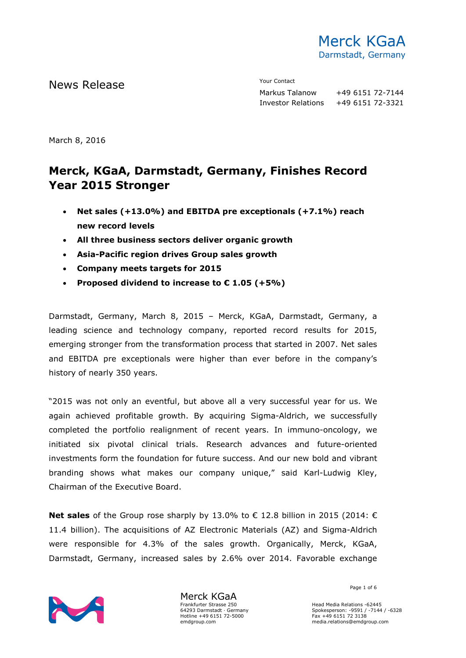

News Release The Contact Terms of the Mean of the Mean of the Vour Contact

Markus Talanow +49 6151 72-7144 Investor Relations +49 6151 72-3321

March 8, 2016

# **Merck, KGaA, Darmstadt, Germany, Finishes Record Year 2015 Stronger**

- **Net sales (+13.0%) and EBITDA pre exceptionals (+7.1%) reach new record levels**
- **All three business sectors deliver organic growth**
- **Asia-Pacific region drives Group sales growth**
- **Company meets targets for 2015**
- **Proposed dividend to increase to € 1.05 (+5%)**

Darmstadt, Germany, March 8, 2015 – Merck, KGaA, Darmstadt, Germany, a leading science and technology company, reported record results for 2015, emerging stronger from the transformation process that started in 2007. Net sales and EBITDA pre exceptionals were higher than ever before in the company's history of nearly 350 years.

"2015 was not only an eventful, but above all a very successful year for us. We again achieved profitable growth. By acquiring Sigma-Aldrich, we successfully completed the portfolio realignment of recent years. In immuno-oncology, we initiated six pivotal clinical trials. Research advances and future-oriented investments form the foundation for future success. And our new bold and vibrant branding shows what makes our company unique," said Karl-Ludwig Kley, Chairman of the Executive Board.

**Net sales** of the Group rose sharply by 13.0% to € 12.8 billion in 2015 (2014: € 11.4 billion). The acquisitions of AZ Electronic Materials (AZ) and Sigma-Aldrich were responsible for 4.3% of the sales growth. Organically, Merck, KGaA, Darmstadt, Germany, increased sales by 2.6% over 2014. Favorable exchange



Merck KGaA Frankfurter Strasse 250 64293 Darmstadt · Germany Hotline +49 6151 72-5000 emdgroup.com

Page 1 of 6

Head Media Relations -62445 Spokesperson: -9591 / -7144 / -6328 Fax +49 6151 72 3138 media.relations@emdgroup.com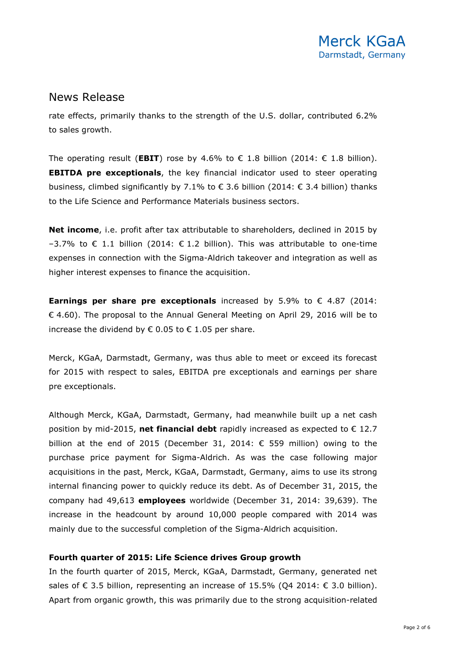rate effects, primarily thanks to the strength of the U.S. dollar, contributed 6.2% to sales growth.

The operating result (**EBIT**) rose by 4.6% to  $\epsilon$  1.8 billion (2014:  $\epsilon$  1.8 billion). **EBITDA pre exceptionals**, the key financial indicator used to steer operating business, climbed significantly by 7.1% to  $\epsilon$  3.6 billion (2014:  $\epsilon$  3.4 billion) thanks to the Life Science and Performance Materials business sectors.

**Net income**, i.e. profit after tax attributable to shareholders, declined in 2015 by  $-3.7%$  to € 1.1 billion (2014: € 1.2 billion). This was attributable to one-time expenses in connection with the Sigma-Aldrich takeover and integration as well as higher interest expenses to finance the acquisition.

**Earnings per share pre exceptionals** increased by 5.9% to € 4.87 (2014:  $\epsilon$  4.60). The proposal to the Annual General Meeting on April 29, 2016 will be to increase the dividend by € 0.05 to  $€$  1.05 per share.

Merck, KGaA, Darmstadt, Germany, was thus able to meet or exceed its forecast for 2015 with respect to sales, EBITDA pre exceptionals and earnings per share pre exceptionals.

Although Merck, KGaA, Darmstadt, Germany, had meanwhile built up a net cash position by mid-2015, **net financial debt** rapidly increased as expected to  $\epsilon$  12.7 billion at the end of 2015 (December 31, 2014: € 559 million) owing to the purchase price payment for Sigma-Aldrich. As was the case following major acquisitions in the past, Merck, KGaA, Darmstadt, Germany, aims to use its strong internal financing power to quickly reduce its debt. As of December 31, 2015, the company had 49,613 **employees** worldwide (December 31, 2014: 39,639). The increase in the headcount by around 10,000 people compared with 2014 was mainly due to the successful completion of the Sigma-Aldrich acquisition.

#### **Fourth quarter of 2015: Life Science drives Group growth**

In the fourth quarter of 2015, Merck, KGaA, Darmstadt, Germany, generated net sales of € 3.5 billion, representing an increase of 15.5% (Q4 2014:  $€$  3.0 billion). Apart from organic growth, this was primarily due to the strong acquisition-related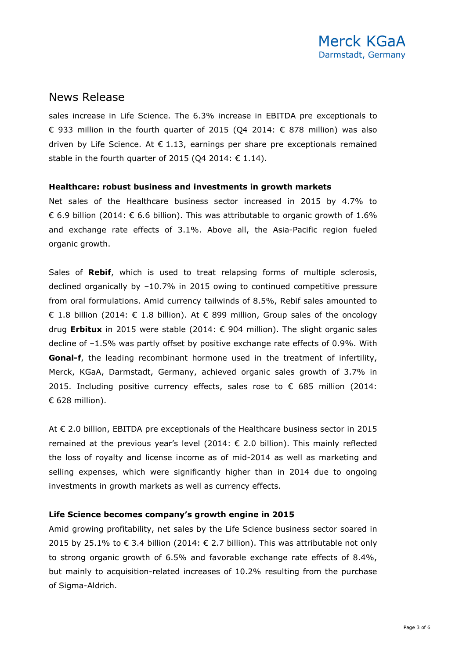sales increase in Life Science. The 6.3% increase in EBITDA pre exceptionals to € 933 million in the fourth quarter of 2015 (Q4 2014:  $€$  878 million) was also driven by Life Science. At  $\epsilon$  1.13, earnings per share pre exceptionals remained stable in the fourth quarter of 2015 (Q4 2014:  $\epsilon$  1.14).

#### **Healthcare: robust business and investments in growth markets**

Net sales of the Healthcare business sector increased in 2015 by 4.7% to € 6.9 billion (2014: € 6.6 billion). This was attributable to organic growth of 1.6% and exchange rate effects of 3.1%. Above all, the Asia-Pacific region fueled organic growth.

Sales of **Rebif**, which is used to treat relapsing forms of multiple sclerosis, declined organically by –10.7% in 2015 owing to continued competitive pressure from oral formulations. Amid currency tailwinds of 8.5%, Rebif sales amounted to € 1.8 billion (2014: € 1.8 billion). At € 899 million, Group sales of the oncology drug **Erbitux** in 2015 were stable (2014: € 904 million). The slight organic sales decline of –1.5% was partly offset by positive exchange rate effects of 0.9%. With **Gonal-f**, the leading recombinant hormone used in the treatment of infertility, Merck, KGaA, Darmstadt, Germany, achieved organic sales growth of 3.7% in 2015. Including positive currency effects, sales rose to  $\epsilon$  685 million (2014: € 628 million).

At € 2.0 billion, EBITDA pre exceptionals of the Healthcare business sector in 2015 remained at the previous year's level (2014: € 2.0 billion). This mainly reflected the loss of royalty and license income as of mid-2014 as well as marketing and selling expenses, which were significantly higher than in 2014 due to ongoing investments in growth markets as well as currency effects.

#### **Life Science becomes company's growth engine in 2015**

Amid growing profitability, net sales by the Life Science business sector soared in 2015 by 25.1% to  $\epsilon$  3.4 billion (2014:  $\epsilon$  2.7 billion). This was attributable not only to strong organic growth of 6.5% and favorable exchange rate effects of 8.4%, but mainly to acquisition-related increases of 10.2% resulting from the purchase of Sigma-Aldrich.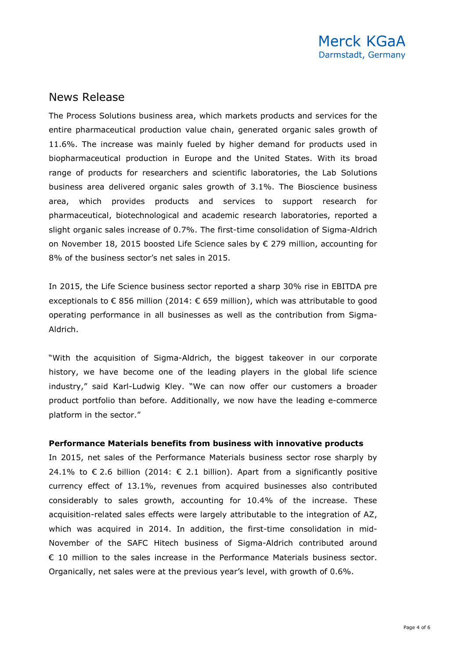The Process Solutions business area, which markets products and services for the entire pharmaceutical production value chain, generated organic sales growth of 11.6%. The increase was mainly fueled by higher demand for products used in biopharmaceutical production in Europe and the United States. With its broad range of products for researchers and scientific laboratories, the Lab Solutions business area delivered organic sales growth of 3.1%. The Bioscience business area, which provides products and services to support research for pharmaceutical, biotechnological and academic research laboratories, reported a slight organic sales increase of 0.7%. The first-time consolidation of Sigma-Aldrich on November 18, 2015 boosted Life Science sales by € 279 million, accounting for 8% of the business sector's net sales in 2015.

In 2015, the Life Science business sector reported a sharp 30% rise in EBITDA pre exceptionals to  $\epsilon$  856 million (2014:  $\epsilon$  659 million), which was attributable to good operating performance in all businesses as well as the contribution from Sigma-Aldrich.

"With the acquisition of Sigma-Aldrich, the biggest takeover in our corporate history, we have become one of the leading players in the global life science industry," said Karl-Ludwig Kley. "We can now offer our customers a broader product portfolio than before. Additionally, we now have the leading e-commerce platform in the sector."

#### **Performance Materials benefits from business with innovative products**

In 2015, net sales of the Performance Materials business sector rose sharply by 24.1% to  $\epsilon$  2.6 billion (2014:  $\epsilon$  2.1 billion). Apart from a significantly positive currency effect of 13.1%, revenues from acquired businesses also contributed considerably to sales growth, accounting for 10.4% of the increase. These acquisition-related sales effects were largely attributable to the integration of AZ, which was acquired in 2014. In addition, the first-time consolidation in mid-November of the SAFC Hitech business of Sigma-Aldrich contributed around € 10 million to the sales increase in the Performance Materials business sector. Organically, net sales were at the previous year's level, with growth of 0.6%.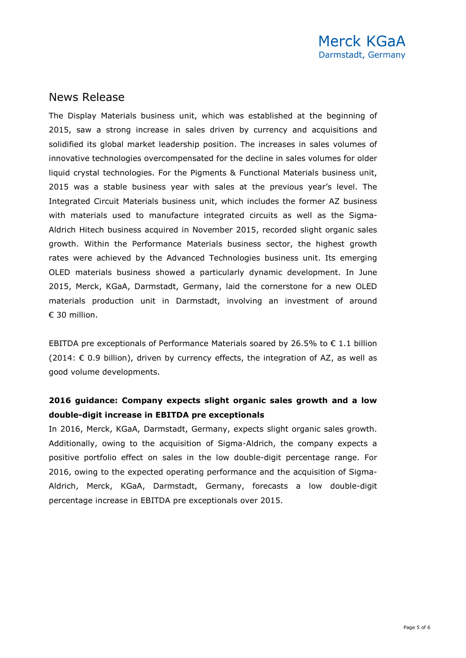The Display Materials business unit, which was established at the beginning of 2015, saw a strong increase in sales driven by currency and acquisitions and solidified its global market leadership position. The increases in sales volumes of innovative technologies overcompensated for the decline in sales volumes for older liquid crystal technologies. For the Pigments & Functional Materials business unit, 2015 was a stable business year with sales at the previous year's level. The Integrated Circuit Materials business unit, which includes the former AZ business with materials used to manufacture integrated circuits as well as the Sigma-Aldrich Hitech business acquired in November 2015, recorded slight organic sales growth. Within the Performance Materials business sector, the highest growth rates were achieved by the Advanced Technologies business unit. Its emerging OLED materials business showed a particularly dynamic development. In June 2015, Merck, KGaA, Darmstadt, Germany, laid the cornerstone for a new OLED materials production unit in Darmstadt, involving an investment of around € 30 million.

EBITDA pre exceptionals of Performance Materials soared by 26.5% to  $\epsilon$  1.1 billion (2014:  $\epsilon$  0.9 billion), driven by currency effects, the integration of AZ, as well as good volume developments.

### **2016 guidance: Company expects slight organic sales growth and a low double-digit increase in EBITDA pre exceptionals**

In 2016, Merck, KGaA, Darmstadt, Germany, expects slight organic sales growth. Additionally, owing to the acquisition of Sigma-Aldrich, the company expects a positive portfolio effect on sales in the low double-digit percentage range. For 2016, owing to the expected operating performance and the acquisition of Sigma-Aldrich, Merck, KGaA, Darmstadt, Germany, forecasts a low double-digit percentage increase in EBITDA pre exceptionals over 2015.